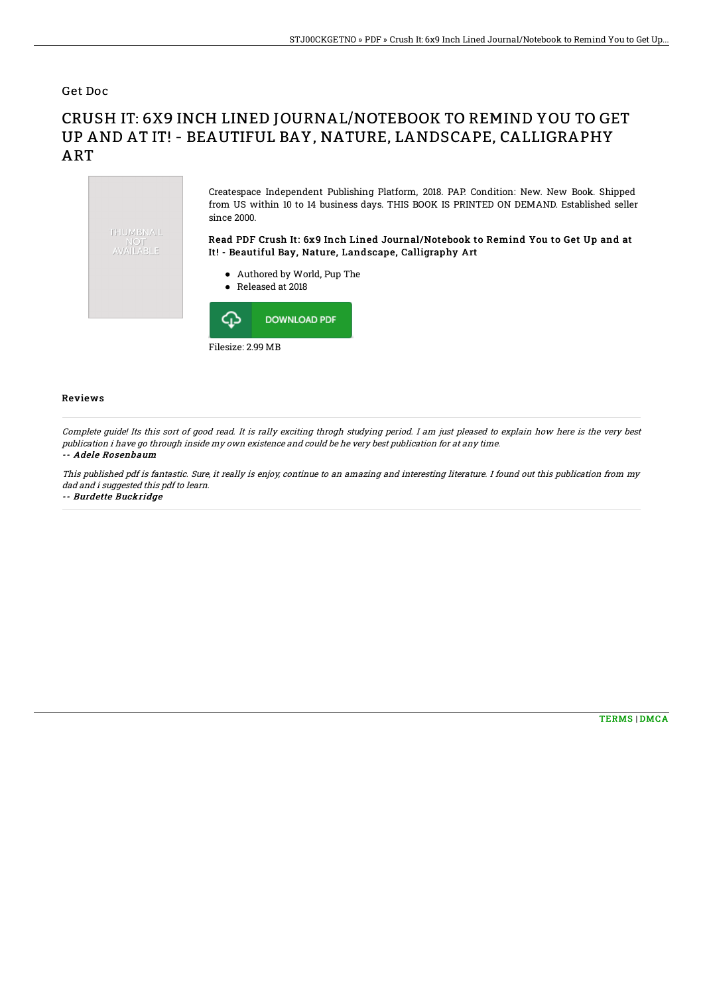Get Doc

## CRUSH IT: 6X9 INCH LINED JOURNAL/NOTEBOOK TO REMIND YOU TO GET UP AND AT IT! - BEAUTIFUL BAY, NATURE, LANDSCAPE, CALLIGRAPHY ART



## Reviews

Complete guide! Its this sort of good read. It is rally exciting throgh studying period. I am just pleased to explain how here is the very best publication i have go through inside my own existence and could be he very best publication for at any time.

## -- Adele Rosenbaum

This published pdf is fantastic. Sure, it really is enjoy, continue to an amazing and interesting literature. I found out this publication from my dad and i suggested this pdf to learn. -- Burdette Buckridge